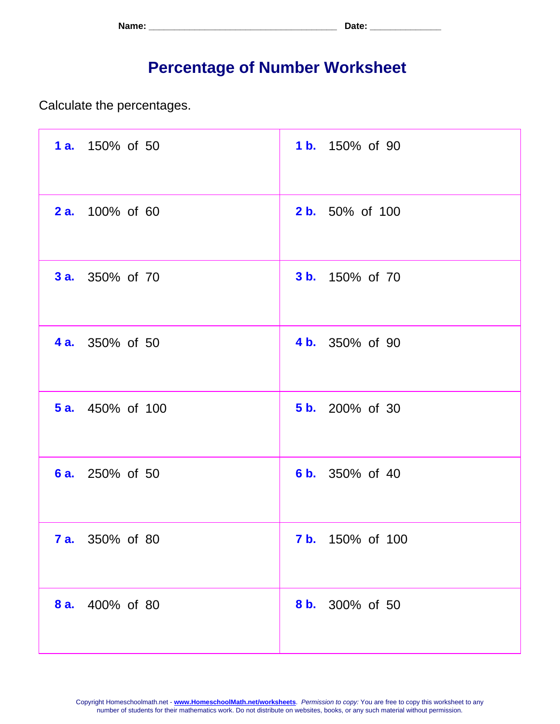| Name: | . ה∔הר<br>. Jalu - |
|-------|--------------------|
|-------|--------------------|

## **Percentage of Number Worksheet**

Calculate the percentages.

| 1 a. 150% of 50         | 1 b. 150% of 90         |
|-------------------------|-------------------------|
| <b>2 a.</b> 100% of 60  | <b>2 b.</b> 50% of 100  |
| <b>3 a.</b> 350% of 70  | <b>3 b.</b> 150% of 70  |
| <b>4 a.</b> 350% of 50  | 4 b. 350% of 90         |
| <b>5 a.</b> 450% of 100 | <b>5 b.</b> 200% of 30  |
| <b>6 a.</b> 250% of 50  | <b>6 b.</b> 350% of 40  |
| <b>7 a.</b> 350% of 80  | <b>7 b.</b> 150% of 100 |
| 8 a.<br>400% of 80      | 8 b. 300% of 50         |